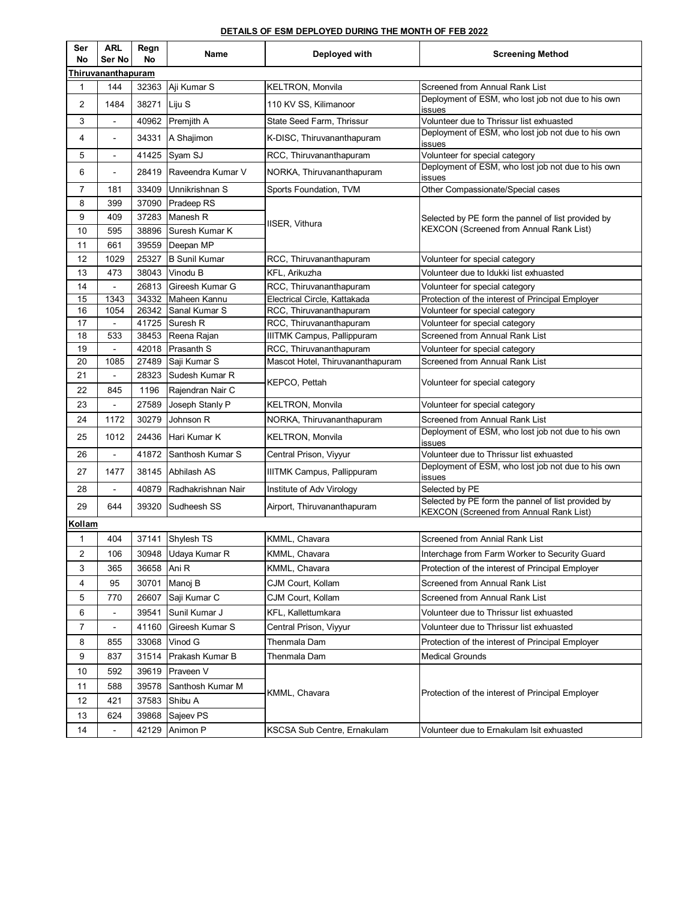## **DETAILS OF ESM DEPLOYED DURING THE MONTH OF FEB 2022**

| Ser<br>No      | <b>ARL</b><br>Ser No     | Regn<br>No | Name                 | Deployed with                    | <b>Screening Method</b>                                                                              |
|----------------|--------------------------|------------|----------------------|----------------------------------|------------------------------------------------------------------------------------------------------|
|                | Thiruvananthapuram       |            |                      |                                  |                                                                                                      |
| 1              | 144                      | 32363      | Aji Kumar S          | <b>KELTRON, Monvila</b>          | Screened from Annual Rank List                                                                       |
| 2              | 1484                     | 38271      | Liju S               | 110 KV SS, Kilimanoor            | Deployment of ESM, who lost job not due to his own<br>issues                                         |
| 3              | $\blacksquare$           |            | 40962 Premjith A     | State Seed Farm, Thrissur        | Volunteer due to Thrissur list exhuasted                                                             |
| 4              | $\blacksquare$           |            | 34331   A Shajimon   | K-DISC, Thiruvananthapuram       | Deployment of ESM, who lost job not due to his own<br>issues                                         |
| 5              | $\blacksquare$           | 41425      | Syam SJ              | RCC, Thiruvananthapuram          | Volunteer for special category                                                                       |
| 6              | ÷.                       | 28419      | Raveendra Kumar V    | NORKA, Thiruvananthapuram        | Deployment of ESM, who lost job not due to his own<br>issues                                         |
| $\overline{7}$ | 181                      | 33409      | Unnikrishnan S       | Sports Foundation, TVM           | Other Compassionate/Special cases                                                                    |
| 8              | 399                      | 37090      | Pradeep RS           |                                  |                                                                                                      |
| 9              | 409                      | 37283      | Manesh R             | IISER, Vithura                   | Selected by PE form the pannel of list provided by<br><b>KEXCON (Screened from Annual Rank List)</b> |
| 10             | 595                      | 38896      | Suresh Kumar K       |                                  |                                                                                                      |
| 11             | 661                      | 39559      | Deepan MP            |                                  |                                                                                                      |
| 12             | 1029                     | 25327      | <b>B Sunil Kumar</b> | RCC, Thiruvananthapuram          | Volunteer for special category                                                                       |
| 13             | 473                      | 38043      | Vinodu B             | KFL, Arikuzha                    | Volunteer due to Idukki list exhuasted                                                               |
| 14             | $\blacksquare$           | 26813      | Gireesh Kumar G      | RCC, Thiruvananthapuram          | Volunteer for special category                                                                       |
| 15             | 1343                     |            | 34332 Maheen Kannu   | Electrical Circle, Kattakada     | Protection of the interest of Principal Employer                                                     |
| 16             | 1054                     |            | 26342 Sanal Kumar S  | RCC, Thiruvananthapuram          | Volunteer for special category                                                                       |
| 17             | $\blacksquare$           | 41725      | Suresh <sub>R</sub>  | RCC, Thiruvananthapuram          | Volunteer for special category                                                                       |
| 18             | 533                      | 38453      | Reena Rajan          | IIITMK Campus, Pallippuram       | Screened from Annual Rank List                                                                       |
| 19             | $\overline{a}$           | 42018      | <b>Prasanth S</b>    | RCC, Thiruvananthapuram          | Volunteer for special category                                                                       |
| 20             | 1085                     | 27489      | Saji Kumar S         | Mascot Hotel, Thiruvananthapuram | Screened from Annual Rank List                                                                       |
| 21             |                          | 28323      | Sudesh Kumar R       |                                  |                                                                                                      |
| 22             | 845                      | 1196       | Rajendran Nair C     | KEPCO, Pettah                    | Volunteer for special category                                                                       |
| 23             |                          | 27589      | Joseph Stanly P      | KELTRON, Monvila                 | Volunteer for special category                                                                       |
| 24             | 1172                     | 30279      | Johnson R            | NORKA, Thiruvananthapuram        | Screened from Annual Rank List                                                                       |
| 25             | 1012                     | 24436      | Hari Kumar K         | KELTRON, Monvila                 | Deployment of ESM, who lost job not due to his own<br>issues                                         |
| 26             | $\blacksquare$           | 41872      | Santhosh Kumar S     | Central Prison, Viyyur           | Volunteer due to Thrissur list exhuasted                                                             |
| 27             | 1477                     |            | 38145 Abhilash AS    | IIITMK Campus, Pallippuram       | Deployment of ESM, who lost job not due to his own<br>issues                                         |
| 28             | $\blacksquare$           | 40879      | Radhakrishnan Nair   | Institute of Adv Virology        | Selected by PE                                                                                       |
| 29             | 644                      | 39320      | Sudheesh SS          | Airport, Thiruvananthapuram      | Selected by PE form the pannel of list provided by<br><b>KEXCON (Screened from Annual Rank List)</b> |
| Kollam         |                          |            |                      |                                  |                                                                                                      |
| 1              | 404                      |            | 37141 Shylesh TS     | KMML, Chavara                    | Screened from Annial Rank List                                                                       |
| 2              | 106                      | 30948      | Udaya Kumar R        | KMML, Chavara                    | Interchage from Farm Worker to Security Guard                                                        |
| 3              | 365                      | 36658      | Ani R                | KMML, Chavara                    | Protection of the interest of Principal Employer                                                     |
| 4              | 95                       | 30701      | Manoj B              | CJM Court, Kollam                | Screened from Annual Rank List                                                                       |
| 5              | 770                      | 26607      | Saji Kumar C         | CJM Court, Kollam                | Screened from Annual Rank List                                                                       |
| 6              | $\overline{\phantom{a}}$ | 39541      | Sunil Kumar J        | KFL, Kallettumkara               | Volunteer due to Thrissur list exhuasted                                                             |
| 7              |                          | 41160      | Gireesh Kumar S      | Central Prison, Vivyur           | Volunteer due to Thrissur list exhuasted                                                             |
| 8              | 855                      | 33068      | Vinod G              | Thenmala Dam                     | Protection of the interest of Principal Employer                                                     |
| 9              | 837                      | 31514      | Prakash Kumar B      |                                  | <b>Medical Grounds</b>                                                                               |
|                |                          |            |                      | Thenmala Dam                     | Protection of the interest of Principal Employer                                                     |
| 10             | 592                      | 39619      | Praveen V            |                                  |                                                                                                      |
| 11             | 588                      | 39578      | Santhosh Kumar M     | KMML, Chavara                    |                                                                                                      |
| 12             | 421                      | 37583      | Shibu A              |                                  |                                                                                                      |
| 13             | 624                      | 39868      | Sajeev PS            |                                  |                                                                                                      |
| 14             |                          |            | 42129 Animon P       | KSCSA Sub Centre, Ernakulam      | Volunteer due to Ernakulam Isit exhuasted                                                            |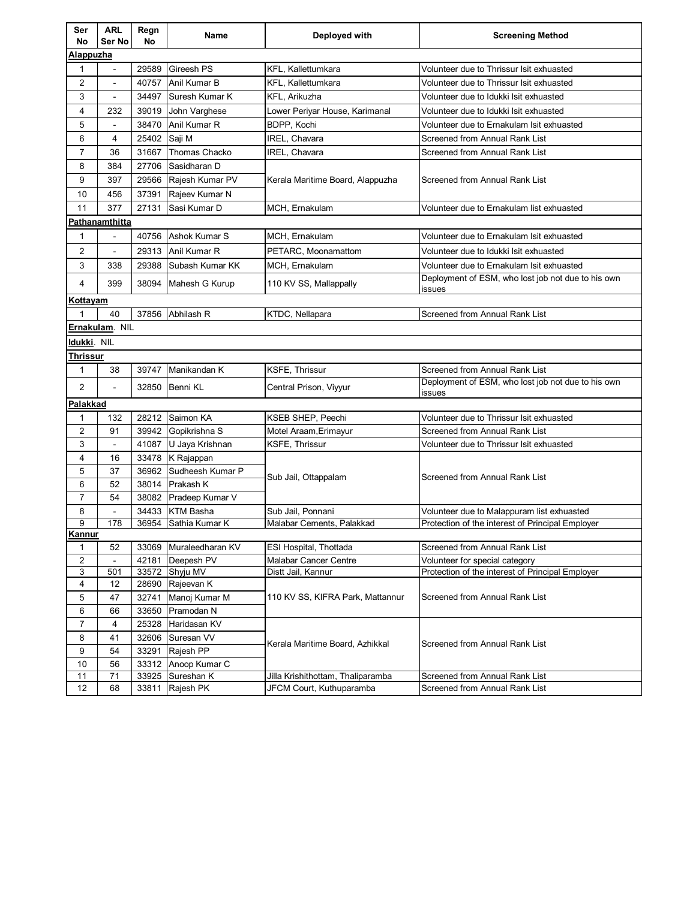| Ser<br>No      | <b>ARL</b><br>Ser No     | Regn<br>No     | Name                       | Deployed with                     | <b>Screening Method</b>                                      |  |  |  |
|----------------|--------------------------|----------------|----------------------------|-----------------------------------|--------------------------------------------------------------|--|--|--|
| Alappuzha      |                          |                |                            |                                   |                                                              |  |  |  |
| $\mathbf{1}$   | $\blacksquare$           | 29589          | Gireesh PS                 | <b>KFL. Kallettumkara</b>         | Volunteer due to Thrissur Isit exhuasted                     |  |  |  |
| $\overline{2}$ | ÷,                       | 40757          | Anil Kumar B               | KFL, Kallettumkara                | Volunteer due to Thrissur Isit exhuasted                     |  |  |  |
| 3              | $\blacksquare$           | 34497          | Suresh Kumar K             | KFL, Arikuzha                     | Volunteer due to Idukki Isit exhuasted                       |  |  |  |
| 4              | 232                      | 39019          | John Varghese              | Lower Periyar House, Karimanal    | Volunteer due to Idukki Isit exhuasted                       |  |  |  |
| 5              | $\blacksquare$           | 38470          | Anil Kumar R               | BDPP, Kochi                       | Volunteer due to Ernakulam Isit exhuasted                    |  |  |  |
| 6              | 4                        | 25402          | Saji M                     | IREL, Chavara                     | Screened from Annual Rank List                               |  |  |  |
| $\overline{7}$ | 36                       | 31667          | Thomas Chacko              | IREL, Chavara                     | Screened from Annual Rank List                               |  |  |  |
| 8              | 384                      | 27706          | Sasidharan D               |                                   |                                                              |  |  |  |
| 9              | 397                      | 29566          | Rajesh Kumar PV            | Kerala Maritime Board, Alappuzha  | Screened from Annual Rank List                               |  |  |  |
| 10             | 456                      | 37391          | Rajeev Kumar N             |                                   |                                                              |  |  |  |
| 11             | 377                      | 27131          | Sasi Kumar D               |                                   |                                                              |  |  |  |
|                | Pathanamthitta           |                |                            | MCH, Ernakulam                    | Volunteer due to Ernakulam list exhuasted                    |  |  |  |
|                |                          |                |                            |                                   |                                                              |  |  |  |
| 1              |                          | 40756          | Ashok Kumar S              | MCH, Ernakulam                    | Volunteer due to Ernakulam Isit exhuasted                    |  |  |  |
| 2              | $\overline{\phantom{a}}$ | 29313          | Anil Kumar R               | PETARC, Moonamattom               | Volunteer due to Idukki Isit exhuasted                       |  |  |  |
| 3              | 338                      | 29388          | Subash Kumar KK            | MCH, Ernakulam                    | Volunteer due to Ernakulam Isit exhuasted                    |  |  |  |
| 4              | 399                      | 38094          | Mahesh G Kurup             | 110 KV SS, Mallappally            | Deployment of ESM, who lost job not due to his own<br>issues |  |  |  |
| Kottayam       |                          |                |                            |                                   |                                                              |  |  |  |
| 1              | 40                       | 37856          | Abhilash R                 | KTDC, Nellapara                   | Screened from Annual Rank List                               |  |  |  |
|                | Ernakulam. NIL           |                |                            |                                   |                                                              |  |  |  |
| Idukki. NIL    |                          |                |                            |                                   |                                                              |  |  |  |
| Thrissur       |                          |                |                            |                                   |                                                              |  |  |  |
| 1              | 38                       | 39747          | Manikandan K               | <b>KSFE, Thrissur</b>             | Screened from Annual Rank List                               |  |  |  |
| $\overline{2}$ | $\blacksquare$           | 32850          | Benni KL                   | Central Prison, Viyyur            | Deployment of ESM, who lost job not due to his own<br>issues |  |  |  |
| Palakkad       |                          |                |                            |                                   |                                                              |  |  |  |
| $\mathbf{1}$   | 132                      | 28212          | Saimon KA                  | KSEB SHEP, Peechi                 | Volunteer due to Thrissur Isit exhuasted                     |  |  |  |
| 2              | 91                       | 39942          | Gopikrishna S              | Motel Araam, Erimayur             | Screened from Annual Rank List                               |  |  |  |
| 3              | $\blacksquare$           | 41087          | U Jaya Krishnan            | KSFE, Thrissur                    | Volunteer due to Thrissur Isit exhuasted                     |  |  |  |
| 4              | 16                       | 33478          | K Rajappan                 |                                   | Screened from Annual Rank List                               |  |  |  |
| 5              | 37                       | 36962          | Sudheesh Kumar P           |                                   |                                                              |  |  |  |
| 6              | 52                       | 38014          | Prakash K                  | Sub Jail, Ottappalam              |                                                              |  |  |  |
| $\overline{7}$ | 54                       | 38082          | Pradeep Kumar V            |                                   |                                                              |  |  |  |
| 8              | $\blacksquare$           | 34433          | <b>KTM Basha</b>           | Sub Jail, Ponnani                 | Volunteer due to Malappuram list exhuasted                   |  |  |  |
| 9              | 178                      |                | 36954 Sathia Kumar K       | Malabar Cements, Palakkad         | Protection of the interest of Principal Employer             |  |  |  |
| Kannur         |                          |                |                            |                                   |                                                              |  |  |  |
| 1              | 52                       | 33069          | Muraleedharan KV           | ESI Hospital, Thottada            | Screened from Annual Rank List                               |  |  |  |
| $\overline{2}$ |                          | 42181          | Deepesh PV                 | <b>Malabar Cancer Centre</b>      | Volunteer for special category                               |  |  |  |
| 3<br>4         | 501<br>12                | 33572          | Shyju MV<br>Rajeevan K     | Distt Jail, Kannur                | Protection of the interest of Principal Employer             |  |  |  |
| 5              | 47                       | 28690<br>32741 | Manoj Kumar M              |                                   | Screened from Annual Rank List                               |  |  |  |
|                |                          | 33650          | Pramodan N                 | 110 KV SS, KIFRA Park, Mattannur  |                                                              |  |  |  |
| 6              | 66                       |                |                            | Kerala Maritime Board, Azhikkal   | Screened from Annual Rank List                               |  |  |  |
| 7              | 4                        | 25328          | Haridasan KV<br>Suresan VV |                                   |                                                              |  |  |  |
| 8<br>9         | 41<br>54                 | 32606<br>33291 | Raiesh PP                  |                                   |                                                              |  |  |  |
| 10             | 56                       | 33312          | Anoop Kumar C              |                                   |                                                              |  |  |  |
| 11             | 71                       | 33925          | Sureshan K                 | Jilla Krishithottam, Thaliparamba | Screened from Annual Rank List                               |  |  |  |
| 12             | 68                       | 33811          | Rajesh PK                  | JFCM Court, Kuthuparamba          | Screened from Annual Rank List                               |  |  |  |